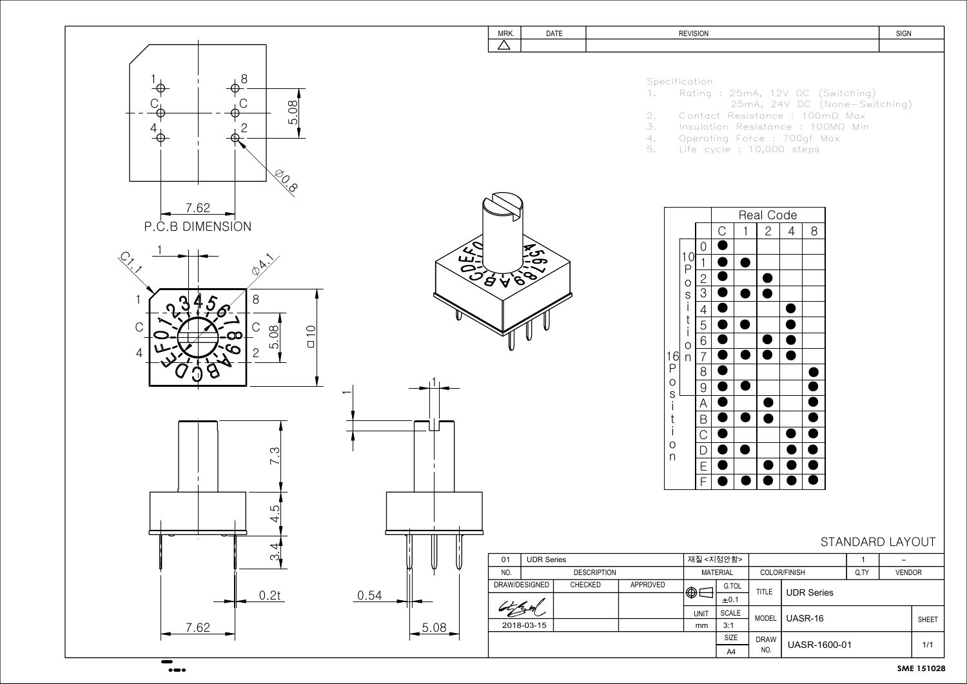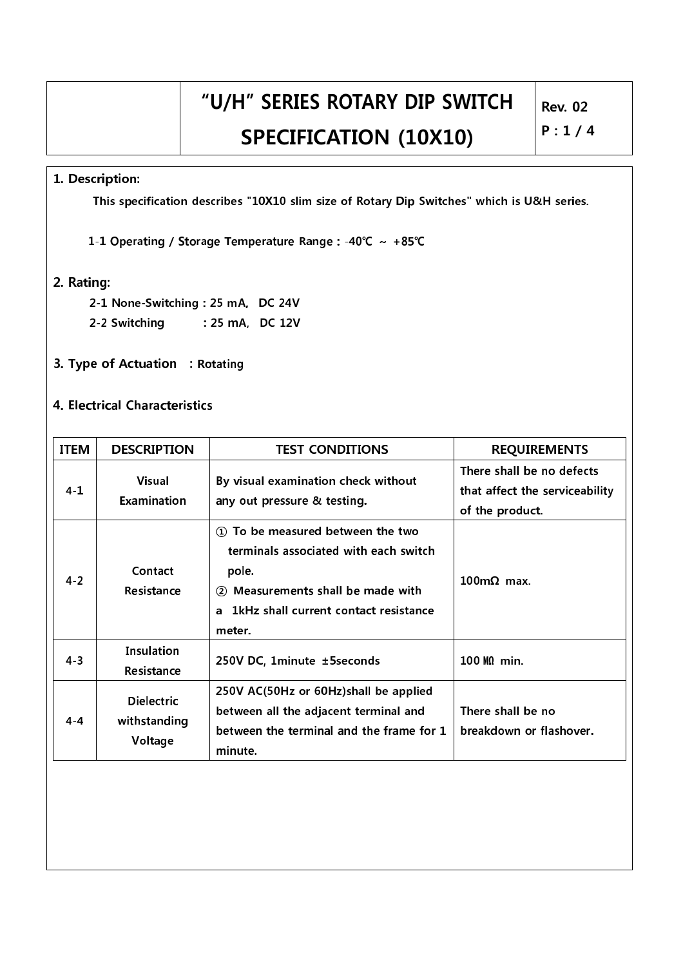### 1. Description:

This specification describes "10X10 slim size of Rotary Dip Switches" which is U&H series.

1-1 Operating / Storage Temperature Range : - 40℃ ~ +85℃

#### 2. Rating:

- 2-1 None-Switching: 25 mA, DC 24V
- 2-2 Switching : 25 mA, DC 12V
- 3. Type of Actuation : Rotating

### 4. Electrical Characteristics

| <b>ITEM</b> | <b>DESCRIPTION</b>                           | <b>TEST CONDITIONS</b>                                                                                                                                                                               | <b>REQUIREMENTS</b>                                                            |
|-------------|----------------------------------------------|------------------------------------------------------------------------------------------------------------------------------------------------------------------------------------------------------|--------------------------------------------------------------------------------|
| $4 - 1$     | <b>Visual</b><br>Examination                 | By visual examination check without<br>any out pressure & testing.                                                                                                                                   | There shall be no defects<br>that affect the serviceability<br>of the product. |
| $4 - 2$     | Contact<br><b>Resistance</b>                 | To be measured between the two<br>$\Omega$<br>terminals associated with each switch<br>pole.<br>2 Measurements shall be made with<br>1kHz shall current contact resistance<br>$\mathbf{a}$<br>meter. | $100 \text{m}\Omega$ max.                                                      |
| $4 - 3$     | Insulation<br><b>Resistance</b>              | 250V DC, 1minute ±5seconds                                                                                                                                                                           | $100 \text{ M}$ min.                                                           |
| $4 - 4$     | <b>Dielectric</b><br>withstanding<br>Voltage | 250V AC(50Hz or 60Hz)shall be applied<br>between all the adjacent terminal and<br>between the terminal and the frame for 1<br>minute.                                                                | There shall be no<br>breakdown or flashover.                                   |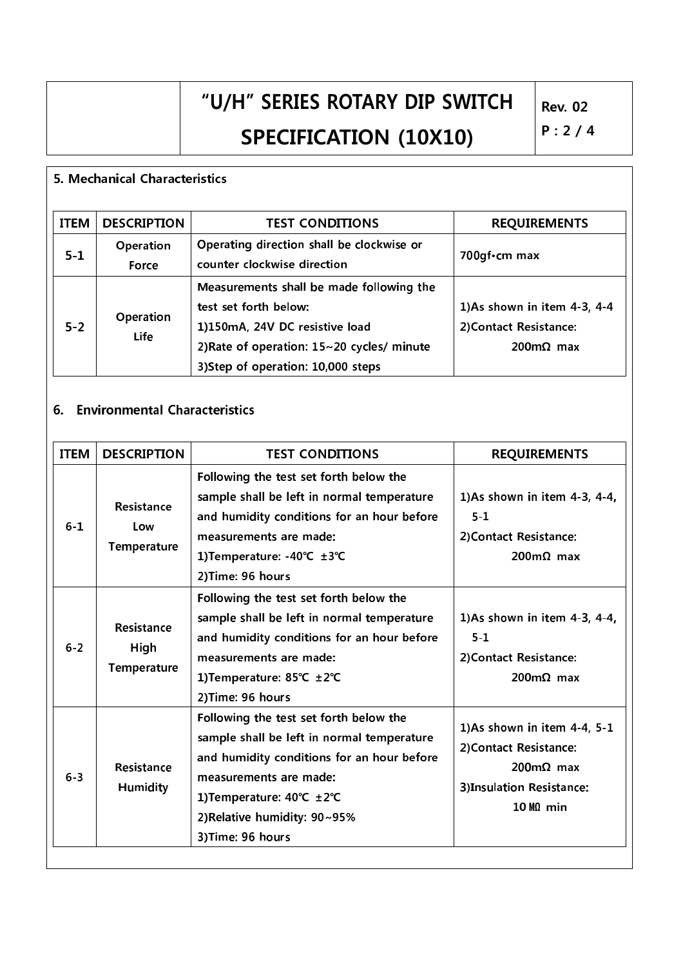## 5. Mechanical Characteristics

| <b>ITEM</b> | <b>DESCRIPTION</b> | <b>TEST CONDITIONS</b>                                                                                                                                                                      | <b>REQUIREMENTS</b>                                                                    |
|-------------|--------------------|---------------------------------------------------------------------------------------------------------------------------------------------------------------------------------------------|----------------------------------------------------------------------------------------|
| $5 - 1$     | Operation<br>Force | Operating direction shall be clockwise or<br>counter clockwise direction                                                                                                                    | 700gf · cm max                                                                         |
| $5 - 2$     | Operation<br>Life  | Measurements shall be made following the<br>test set forth below:<br>1)150mA, 24V DC resistive load<br>2) Rate of operation: $15 - 20$ cycles/ minute<br>3) Step of operation: 10,000 steps | 1)As shown in item $4-3$ , $4-4$<br>2) Contact Resistance:<br>$200 \text{m}\Omega$ max |

### 6. Environmental Characteristics

| <b>ITEM</b> | <b>DESCRIPTION</b>                       | <b>TEST CONDITIONS</b>                                                                                                                                                                                                                         | <b>REQUIREMENTS</b>                                                                                                          |
|-------------|------------------------------------------|------------------------------------------------------------------------------------------------------------------------------------------------------------------------------------------------------------------------------------------------|------------------------------------------------------------------------------------------------------------------------------|
| $6 - 1$     | Resistance<br>Low<br><b>Temperature</b>  | Following the test set forth below the<br>sample shall be left in normal temperature<br>and humidity conditions for an hour before<br>measurements are made:<br>1) Temperature: -40℃ ±3℃<br>2) Time: 96 hours                                  | 1)As shown in item 4-3, 4-4,<br>$5 - 1$<br>2) Contact Resistance:<br>$200 \text{m}\Omega$ max                                |
| $6 - 2$     | Resistance<br>High<br><b>Temperature</b> | Following the test set forth below the<br>sample shall be left in normal temperature<br>and humidity conditions for an hour before<br>measurements are made:<br>1) Temperature: 85°C ±2°C<br>2) Time: 96 hours                                 | 1)As shown in item 4-3, 4-4,<br>$5 - 1$<br>2) Contact Resistance:<br>$200 \text{m}\Omega$ max                                |
| $6 - 3$     | Resistance<br>Humidity                   | Following the test set forth below the<br>sample shall be left in normal temperature<br>and humidity conditions for an hour before<br>measurements are made:<br>1) Temperature: 40°C ±2°C<br>2) Relative humidity: 90~95%<br>3) Time: 96 hours | 1)As shown in item 4-4, 5-1<br>2) Contact Resistance:<br>$200 \text{m}\Omega$ max<br>3)Insulation Resistance:<br>$10 M0$ min |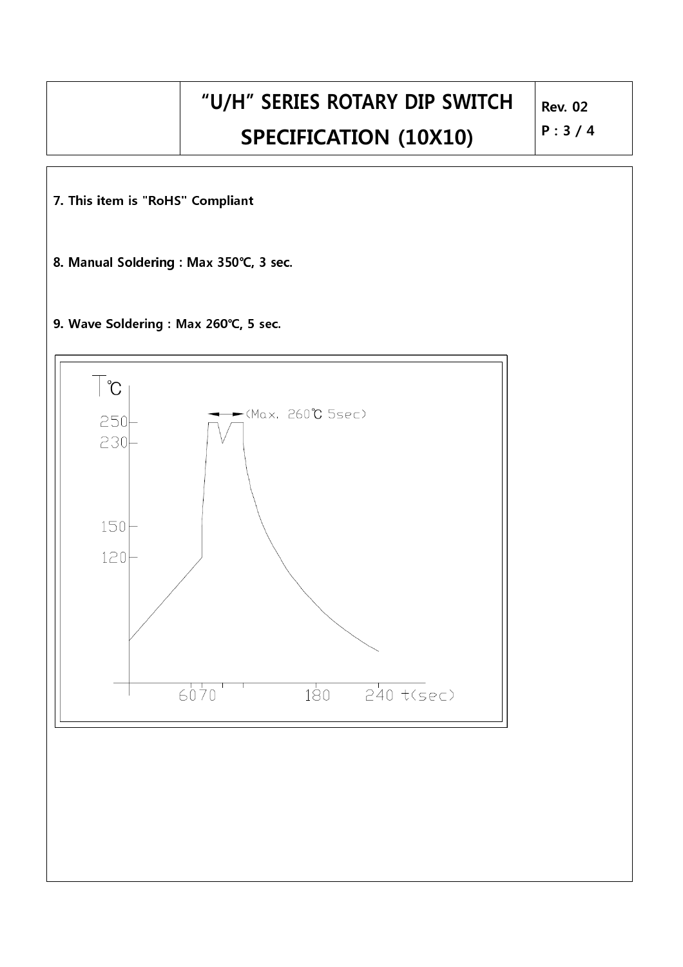$P: 3 / 4$ 

7. This item is "RoHS" Compliant

8. Manual Soldering : Max 350℃, 3 sec.

9. Wave Soldering: Max 260°C, 5 sec.